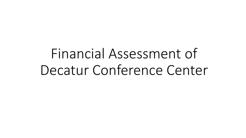Financial Assessment of Decatur Conference Center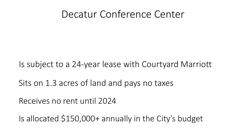### Decatur Conference Center

Is subject to a 24-year lease with Courtyard Marriott

Sits on 1.3 acres of land and pays no taxes

Receives no rent until 2024

Is allocated \$150,000+ annually in the City's budget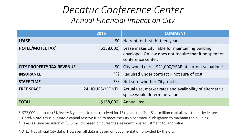## *Decatur Conference Center Annual Financial Impact on City*

|                                    | 2015         | <b>COMMENT</b>                                                                                                                              |
|------------------------------------|--------------|---------------------------------------------------------------------------------------------------------------------------------------------|
| <b>LEASE</b>                       |              | \$0 No rent for first thirteen years. $1$                                                                                                   |
| <b>HOTEL/MOTEL TAX<sup>2</sup></b> |              | (\$158,000) Lease makes city liable for maintaining building<br>envelope. GA law does not require that it be spent on<br>conference center. |
| <b>CITY PROPERTY TAX REVENUE</b>   |              | \$0 City would earn ~\$21,000/YEAR at current valuation. <sup>3</sup>                                                                       |
| <b>INSURANCE</b>                   | ַיִּרְיִ     | Required under contract – not sure of cost.                                                                                                 |
| <b>STAFF TIME</b>                  |              | ??? Not sure whether City tracks.                                                                                                           |
| <b>FREE SPACE</b>                  |              | 24 HOURS/MONTH Actual use, market rates and availability of alternative<br>space would determine value.                                     |
| <b>TOTAL</b>                       | ( \$158,000) | <b>Annual loss</b>                                                                                                                          |

 $1$  \$72,000 indexed (+5%/every 3 years). No rent received for 13+ years to offset \$1.1 million capital investment by lessee.

<sup>2</sup> Hotel/Motel tax is put into a capital reserve fund to meet the City's contractual obligation to maintain the building

<sup>3</sup> Taxes assume valuation of \$3.5 million based on current assessment plus adjustment to land value

NOTE: Not official City data. However, all data is based on documentation provided by the City.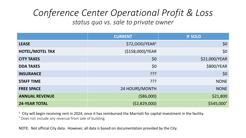#### *Conference Center Operational Profit & Loss status quo vs. sale to private owner*

|                        | <b>CURRENT</b>             | <b>IF SOLD</b> |
|------------------------|----------------------------|----------------|
| <b>LEASE</b>           | \$72,000/YEAR <sup>1</sup> | \$0            |
| <b>HOTEL/MOTEL TAX</b> | (\$158,000)/YEAR           | \$0            |
| <b>CITY TAXES</b>      | \$0                        | \$21,000/YEAR  |
| <b>DDA TAXES</b>       | \$0                        | \$800/YEAR     |
| <b>INSURANCE</b>       | ַיִּכְיָ                   | \$0            |
| <b>STAFF TIME</b>      | ַרְרְךָ                    | <b>NONE</b>    |
| <b>FREE SPACE</b>      | 24 HOURS/MONTH             | <b>NONE</b>    |
| <b>ANNUAL REVENUE</b>  | ( \$86,000)                | \$21,800       |
| <b>24-YEAR TOTAL</b>   | (52,829,000)               | \$545,000      |

 $1$  City will begin receiving rent in 2024, once it has reimbursed the Marriott for capital investment in the facility. \* Does not include any revenue from sale of building.

NOTE: Not official City data. However, all data is based on documentation provided by the City.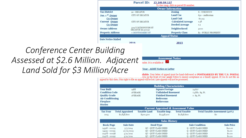|                            |                                        | Parcel ID: 15 246 04 127                |                      |  |  |  |  |
|----------------------------|----------------------------------------|-----------------------------------------|----------------------|--|--|--|--|
|                            |                                        | To view map, click on parcel ID number. |                      |  |  |  |  |
|                            |                                        | <b>Owner Information</b>                |                      |  |  |  |  |
| <b>Tax District</b>        | 92 - DECATUR                           | <b>Zoning</b>                           | X - UNKNOWN          |  |  |  |  |
| Jan. 1 <sup>st</sup> Owner | CITY OF DECATUR                        | <b>Land Use</b>                         | 630 - Auditorium     |  |  |  |  |
| Co-Owner                   |                                        | <b>Land Unit</b>                        | 60,113               |  |  |  |  |
| <b>Current Owner</b>       | CITY OF DECATUR                        | <b>Calculated Acreage</b>               | 1.38                 |  |  |  |  |
| Co-Owner                   |                                        | <b>Deeded Acreage</b>                   | 1.3                  |  |  |  |  |
| <b>Owner Address</b>       | 509 N MCDONOUGH ST<br>DECATUR GA 30030 | Neighborhood                            | 5000                 |  |  |  |  |
| <b>Property Address</b>    | o MONTGOMERY ST                        | <b>Property Class</b>                   | E1 - PUBLIC PROPERTY |  |  |  |  |
|                            |                                        | <b>Appeal Status</b>                    |                      |  |  |  |  |
| <b>Date Notice Mailed</b>  |                                        |                                         |                      |  |  |  |  |
|                            | 2016                                   | 2015                                    |                      |  |  |  |  |
|                            |                                        |                                         |                      |  |  |  |  |
| Building                   |                                        |                                         |                      |  |  |  |  |
|                            |                                        |                                         |                      |  |  |  |  |

#### *Conference Center Assessed at \$2.6 Million. Adjacent Land Sold for \$3 Million/Acre*

| Assessmer |  |  |
|-----------|--|--|
|           |  |  |

sader. It is available at

**Year - ASMT Notice or Letter** 

ilable. Your letter of appeal must be hand-delivered or POSTMARKED BY THE U.S. POSTAL<br>...own on the front of your 2016 Notice to ensure acceptance as a timely appeal. If you do not file an appeal by this date, your right to file an appeal will be lost. Late appeals will not be processed.

Notice

|                                                 |                        |                     | <b>Building Characteristics</b> |                      |                                |                   |  |  |  |  |  |  |  |
|-------------------------------------------------|------------------------|---------------------|---------------------------------|----------------------|--------------------------------|-------------------|--|--|--|--|--|--|--|
| <b>Year Built</b>                               | 1988                   |                     | <b>Square Footage</b>           |                      | 24,627                         |                   |  |  |  |  |  |  |  |
| <b>Condition Code</b>                           |                        | AVERAGE             | <b>Unfinished Basement</b>      |                      | 73,881 Sq. Ft.                 |                   |  |  |  |  |  |  |  |
| <b>Quality Grade</b>                            |                        | AVERAGE             | <b>Finished Basement</b>        |                      | o Sq. Ft.                      |                   |  |  |  |  |  |  |  |
| <b>Air Conditioning</b>                         |                        |                     | <b>Bedrooms</b>                 |                      |                                |                   |  |  |  |  |  |  |  |
| <b>Fireplace</b>                                |                        |                     | <b>Bathrooms</b>                |                      |                                |                   |  |  |  |  |  |  |  |
| <b>Stories</b>                                  |                        |                     |                                 |                      |                                |                   |  |  |  |  |  |  |  |
| <b>Current Appraised &amp; Assessment Value</b> |                        |                     |                                 |                      |                                |                   |  |  |  |  |  |  |  |
|                                                 |                        |                     |                                 |                      |                                |                   |  |  |  |  |  |  |  |
| Tax Year                                        | <b>Total Appraised</b> | <b>Taxable Land</b> | Taxable Imp.                    | <b>Total Taxable</b> | Total Taxable Assessment (40%) |                   |  |  |  |  |  |  |  |
| 2015                                            | \$2,8,58,600           | \$300,500           | \$2,558,100                     | \$2,8,58,600         | \$o                            |                   |  |  |  |  |  |  |  |
|                                                 |                        |                     |                                 |                      |                                |                   |  |  |  |  |  |  |  |
|                                                 |                        |                     | <b>Sales History</b>            |                      |                                |                   |  |  |  |  |  |  |  |
| <b>Book/Page</b>                                | Sale Date              |                     | Deed Type                       |                      | <b>Sale Condition</b>          | <b>Sale Price</b> |  |  |  |  |  |  |  |
| 24318 - 00024                                   | 3/3/2014               |                     | QC - QUIT CLAIM DEED            |                      | Q - QUIT CLAIM DEED            | \$10.00           |  |  |  |  |  |  |  |
| 24133 - 00055                                   | 10/21/2013             |                     | QC - QUIT CLAIM DEED            |                      | Q - QUIT CLAIM DEED            | \$1.00            |  |  |  |  |  |  |  |
| $22478 - 00096$                                 | 5/11/2011              |                     | QC - QUIT CLAIM DEED            |                      | Q - QUIT CLAIM DEED            | \$0.00            |  |  |  |  |  |  |  |
| $22478 - 00092$                                 | 5/11/2011              |                     | QC - QUIT CLAIM DEED            | \$0.00               |                                |                   |  |  |  |  |  |  |  |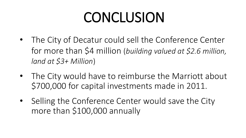# **CONCLUSION**

- The City of Decatur could sell the Conference Center for more than \$4 million (*building valued at \$2.6 million, land at \$3+ Million*)
- The City would have to reimburse the Marriott about \$700,000 for capital investments made in 2011.
- Selling the Conference Center would save the City more than \$100,000 annually